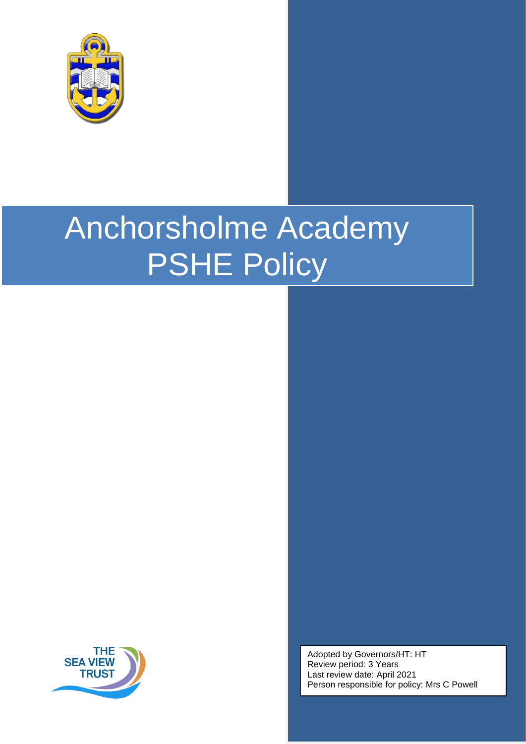

# Anchorsholme Academy PSHE Policy



Adopted by Governors/HT: HT Review period: 3 Years Last review date: April 2021 Person responsible for policy: Mrs C Powell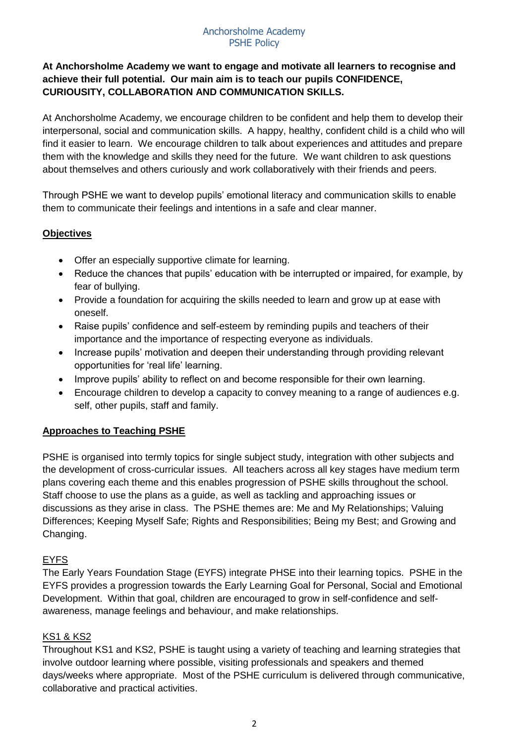#### Anchorsholme Academy PSHE Policy

# **At Anchorsholme Academy we want to engage and motivate all learners to recognise and achieve their full potential. Our main aim is to teach our pupils CONFIDENCE, CURIOUSITY, COLLABORATION AND COMMUNICATION SKILLS.**

At Anchorsholme Academy, we encourage children to be confident and help them to develop their interpersonal, social and communication skills. A happy, healthy, confident child is a child who will find it easier to learn. We encourage children to talk about experiences and attitudes and prepare them with the knowledge and skills they need for the future. We want children to ask questions about themselves and others curiously and work collaboratively with their friends and peers.

Through PSHE we want to develop pupils' emotional literacy and communication skills to enable them to communicate their feelings and intentions in a safe and clear manner.

# **Objectives**

- Offer an especially supportive climate for learning.
- Reduce the chances that pupils' education with be interrupted or impaired, for example, by fear of bullying.
- Provide a foundation for acquiring the skills needed to learn and grow up at ease with oneself.
- Raise pupils' confidence and self-esteem by reminding pupils and teachers of their importance and the importance of respecting everyone as individuals.
- Increase pupils' motivation and deepen their understanding through providing relevant opportunities for 'real life' learning.
- Improve pupils' ability to reflect on and become responsible for their own learning.
- Encourage children to develop a capacity to convey meaning to a range of audiences e.g. self, other pupils, staff and family.

## **Approaches to Teaching PSHE**

PSHE is organised into termly topics for single subject study, integration with other subjects and the development of cross-curricular issues. All teachers across all key stages have medium term plans covering each theme and this enables progression of PSHE skills throughout the school. Staff choose to use the plans as a guide, as well as tackling and approaching issues or discussions as they arise in class. The PSHE themes are: Me and My Relationships; Valuing Differences; Keeping Myself Safe; Rights and Responsibilities; Being my Best; and Growing and Changing.

## EYFS

The Early Years Foundation Stage (EYFS) integrate PHSE into their learning topics. PSHE in the EYFS provides a progression towards the Early Learning Goal for Personal, Social and Emotional Development. Within that goal, children are encouraged to grow in self-confidence and selfawareness, manage feelings and behaviour, and make relationships.

## KS1 & KS2

Throughout KS1 and KS2, PSHE is taught using a variety of teaching and learning strategies that involve outdoor learning where possible, visiting professionals and speakers and themed days/weeks where appropriate. Most of the PSHE curriculum is delivered through communicative, collaborative and practical activities.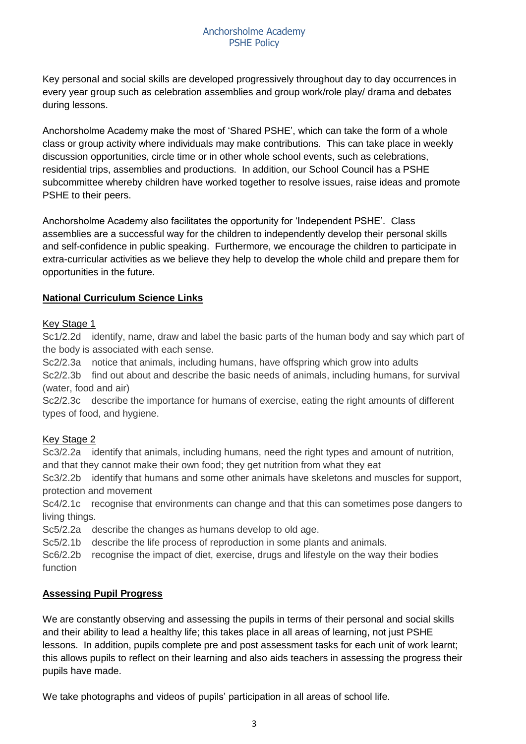Key personal and social skills are developed progressively throughout day to day occurrences in every year group such as celebration assemblies and group work/role play/ drama and debates during lessons.

Anchorsholme Academy make the most of 'Shared PSHE', which can take the form of a whole class or group activity where individuals may make contributions. This can take place in weekly discussion opportunities, circle time or in other whole school events, such as celebrations, residential trips, assemblies and productions. In addition, our School Council has a PSHE subcommittee whereby children have worked together to resolve issues, raise ideas and promote PSHE to their peers.

Anchorsholme Academy also facilitates the opportunity for 'Independent PSHE'. Class assemblies are a successful way for the children to independently develop their personal skills and self-confidence in public speaking. Furthermore, we encourage the children to participate in extra-curricular activities as we believe they help to develop the whole child and prepare them for opportunities in the future.

## **National Curriculum Science Links**

#### Key Stage 1

Sc1/2.2d identify, name, draw and label the basic parts of the human body and say which part of the body is associated with each sense.

Sc2/2.3a notice that animals, including humans, have offspring which grow into adults Sc2/2.3b find out about and describe the basic needs of animals, including humans, for survival (water, food and air)

Sc2/2.3c describe the importance for humans of exercise, eating the right amounts of different types of food, and hygiene.

#### Key Stage 2

Sc3/2.2a identify that animals, including humans, need the right types and amount of nutrition, and that they cannot make their own food; they get nutrition from what they eat

Sc3/2.2b identify that humans and some other animals have skeletons and muscles for support, protection and movement

Sc4/2.1c recognise that environments can change and that this can sometimes pose dangers to living things.

Sc5/2.2a describe the changes as humans develop to old age.

Sc5/2.1b describe the life process of reproduction in some plants and animals.

Sc6/2.2b recognise the impact of diet, exercise, drugs and lifestyle on the way their bodies function

#### **Assessing Pupil Progress**

We are constantly observing and assessing the pupils in terms of their personal and social skills and their ability to lead a healthy life; this takes place in all areas of learning, not just PSHE lessons. In addition, pupils complete pre and post assessment tasks for each unit of work learnt; this allows pupils to reflect on their learning and also aids teachers in assessing the progress their pupils have made.

We take photographs and videos of pupils' participation in all areas of school life.